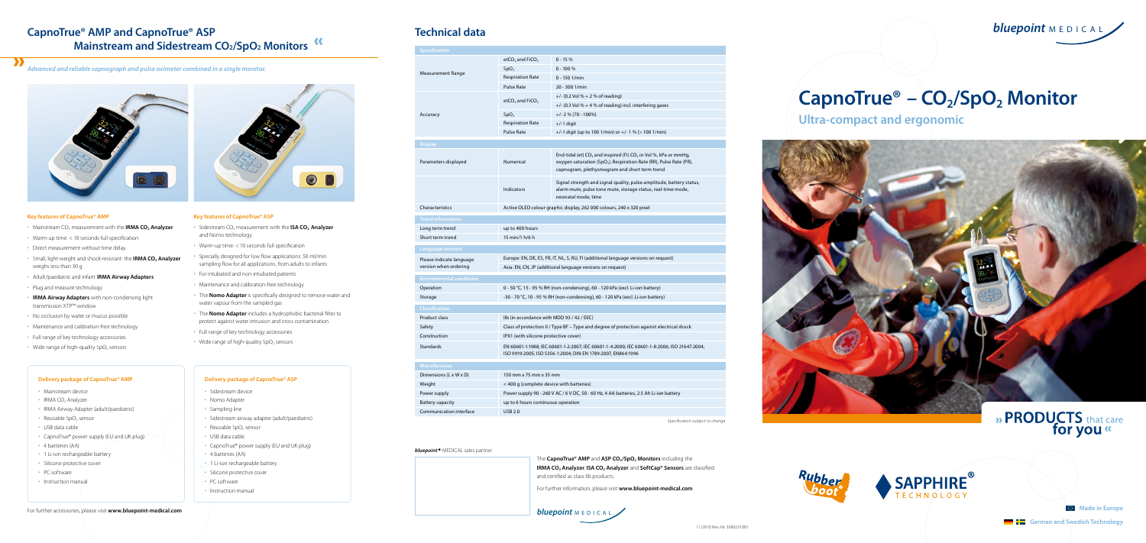**Ultra-compact and ergonomic**





» PRODUCTS that care<br>for you

**German and Swedish Technology** 

**Made in Europe** 

## **CapnoTrue® AMP and CapnoTrue® ASP Mainstream and Sidestream CO<sub>2</sub>/SpO<sub>2</sub> Monitors<sup>K</sup>**

| <b>Specification</b>            |                                                                                           |                                                                  |
|---------------------------------|-------------------------------------------------------------------------------------------|------------------------------------------------------------------|
| Measurement Range               | etCO <sub>2</sub> and FiCO <sub>2</sub>                                                   | $0 - 15%$                                                        |
|                                 | SpO <sub>2</sub>                                                                          | $0 - 100 %$                                                      |
|                                 | <b>Respiration Rate</b>                                                                   | 0 - 150 1/min                                                    |
|                                 | <b>Pulse Rate</b>                                                                         | 20 - 300 1/min                                                   |
| Accuracy                        | etCO <sub>2</sub> and FiCO <sub>2</sub>                                                   | +/- (0.2 Vol % + 2 %                                             |
|                                 |                                                                                           | $+/- (0.3$ Vol % + 4 %                                           |
|                                 | SpO <sub>2</sub>                                                                          | $+/- 2$ % (70 - 100%)                                            |
|                                 | <b>Respiration Rate</b>                                                                   | $+/-1$ digit                                                     |
|                                 | <b>Pulse Rate</b>                                                                         | $+/-1$ digit (up to 10                                           |
| <b>Display</b>                  |                                                                                           |                                                                  |
| Parameters displayed            | <b>Numerical</b>                                                                          | End-tidal (et) $CO2$ a<br>oxygen saturation<br>capnogram, plethy |
|                                 | <b>Indicators</b>                                                                         | Signal strength an<br>alarm mute, pulse<br>neonatal mode, tir    |
| Characteristics                 | Active OLED colour graphic display, 262 00                                                |                                                                  |
| <b>Trend information</b>        |                                                                                           |                                                                  |
| Long term trend                 | up to 400 hours                                                                           |                                                                  |
| Short term trend                | 15 min/1 h/6 h                                                                            |                                                                  |
| <b>Language versions</b>        |                                                                                           |                                                                  |
| Please indicate language        | Europe: EN, DE, ES, FR, IT, NL, S, RU, FI (addit                                          |                                                                  |
| version when ordering           | Asia: EN, CN, JP (additional language versior                                             |                                                                  |
| <b>Environmental conditions</b> |                                                                                           |                                                                  |
| Operation                       | 0 - 50 °C, 15 - 95 % RH (non-condensing), 60                                              |                                                                  |
| Storage                         | -30 - 70 °C, 10 - 95 % RH (non-condensing),                                               |                                                                  |
| <b>Classification</b>           |                                                                                           |                                                                  |
| Product class                   | Ilb (in accordance with MDD 93 / 42 / EEC)                                                |                                                                  |
| Safety                          | Class of protection II / Type BF - Type and o                                             |                                                                  |
| Construction                    | IPX1 (with silicone protective cover)                                                     |                                                                  |
| <b>Standards</b>                | EN 60601-1:1988; IEC 60601-1-2:2007; IEC 60<br>ISO 9919:2005; ISO 5356-1:2004; DIN EN 178 |                                                                  |
| <b>Miscellaneous</b>            |                                                                                           |                                                                  |
| Dimensions (L x W x D)          | 150 mm x 75 mm x 35 mm                                                                    |                                                                  |
| Weight                          | < 400 g (complete device with batteries)                                                  |                                                                  |
| Power supply                    | Power supply 90 - 260 V AC / 6 V DC, 50 - 60                                              |                                                                  |
| <b>Battery capacity</b>         | up to 6 hours continuous operation                                                        |                                                                  |
| Communication interface         | <b>USB 2.0</b>                                                                            |                                                                  |
|                                 |                                                                                           |                                                                  |

*bluepoint<sup>®</sup>* MEDICAL sales partner

- Sidestream device
- Nomo Adapter
- Sampling line
- Sidestream airway adapter (adult/paediatric)
- Reusable  $SpO<sub>2</sub>$  sensor
- USB data cable
- CapnoTrue® power supply (EU and UK plug)
- 4 batteries (AA)
- 1 Li-ion rechargeable battery
- Silicone protective cover
- PC software
- Instruction manual

11/2010 Rev.-Nr. 3090231001



# CapnoTrue<sup>®</sup> – CO<sub>2</sub>/SpO<sub>2</sub> Monitor

## **Technical data**

Specification subject to change

*Advanced and reliable capnograph and pulse oximeter combined in a single monitor.* 



The **CapnoTrue® AMP** and **ASP CO<sub>2</sub>/SpO<sub>2</sub> Monitors** including the **IRMA CO<sub>2</sub> Analyzer, ISA CO<sub>2</sub> Analyzer** and **SoftCap® Sensors** are classified and certified as class IIb products. For further information, please visit **www.bluepoint-medical.com**

## **Delivery package of CapnoTrue® AMP**

- Mainstream device
- $\cdot$  IRMA CO<sub>2</sub> Analyzer
- IRMA Airway Adapter (adult/paediatric)
- Reusable  $SpO<sub>2</sub>$  sensor
- USB data cable
- CapnoTrue® power supply (EU and UK plug)
- 4 batteries (AA)
- 1 Li-ion rechargeable battery
- Silicone protective cover
- PC software
- Instruction manual

## **Delivery package of CapnoTrue® ASP**

## **Key features of CapnoTrue® AMP**

- Mainstream CO<sub>2</sub> measurement with the **IRMA CO<sub>2</sub> Analyzer**
- Warm-up time: < 10 seconds full specification
- Direct measurement without time delay
- Small, light-weight and shock-resistant: the **IRMA CO<sub>2</sub> Analyzer** weighs less than 30 g
- Adult/paediatric and infant **IRMA Airway Adapters**
- Plug and measure technology
- **IRMA Airway Adapters** with non-condensing light transmission XTP™ window
- No occlusion by water or mucus possible
- Maintenance and calibration-free technology
- Full range of key technology accessories
- Wide range of high-quality  $SpO<sub>2</sub>$  sensors

## **Key features of CapnoTrue® ASP**

- Sidestream CO<sub>2</sub> measurement with the **ISA CO<sub>2</sub> Analyzer** and Nomo technology
- Warm-up time: < 10 seconds full specification
- Specially designed for low flow applications: 50 ml/min sampling flow for all applications, from adults to infants
- For intubated and non-intubated patients
- Maintenance and calibration-free technology
- The **Nomo Adapter** is specifically designed to remove water and water vapour from the sampled gas
- The **Nomo Adapter** includes a hydrophobic bacterial filter to protect against water intrusion and cross contamination
- Full range of key technology accessories
- Wide range of high-quality  $SpO<sub>2</sub>$  sensors

**bluepoint** M E D I <sup>C</sup> <sup>A</sup> <sup>L</sup>

# **bluepoint** MEDICAL

 $% + 2%$  of reading)

 $% + 4$  % of reading) incl. interfering gases

p to 100 1/min) or  $+/- 1$  % ( $> 100$  1/min)

) CO<sub>2</sub> and inspired (Fi) CO<sub>2</sub> in Vol %, kPa or mmHg, ration (SpO<sub>2</sub>), Respiration Rate (RR), Pulse Rate (PR), plethysmogram and short term trend

gth and signal quality, pulse amplitude, battery status, , pulse tone mute, storage status, real-time mode, ode, time

 $262000$  colours,  $240$  x 320 pixel

(additional language versions on request) versions on request)

ng), 60 - 120 kPa (excl. Li-ion battery) sing), 60 - 120 kPa (excl. Li-ion battery)

and degree of protection against electrical shock

IEC 60601-1-4:2000; IEC 60601-1-8:2006; ISO 21647:2004; I EN 1789:2007, EN864:1996

50 - 60 Hz, 4 AA batteries, 2.5 Ah Li-ion battery